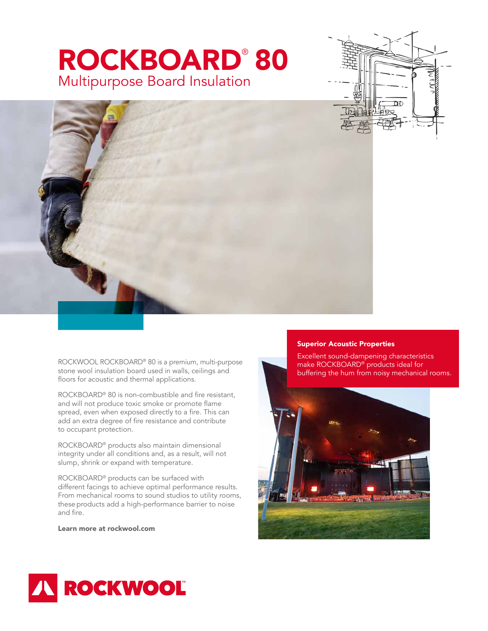## ROCKBOARD® 80 Multipurpose Board Insulation





ROCKWOOL ROCKBOARD® 80 is a premium, multi-purpose stone wool insulation board used in walls, ceilings and floors for acoustic and thermal applications.

ROCKBOARD® 80 is non-combustible and fire resistant, and will not produce toxic smoke or promote flame spread, even when exposed directly to a fire. This can add an extra degree of fire resistance and contribute to occupant protection.

ROCKBOARD® products also maintain dimensional integrity under all conditions and, as a result, will not slump, shrink or expand with temperature.

ROCKBOARD® products can be surfaced with different facings to achieve optimal performance results. From mechanical rooms to sound studios to utility rooms, these products add a high-performance barrier to noise and fire.

Learn more at rockwool.com

## Superior Acoustic Properties

Excellent sound-dampening characteristics make ROCKBOARD<sup>®</sup> products ideal for buffering the hum from noisy mechanical rooms.